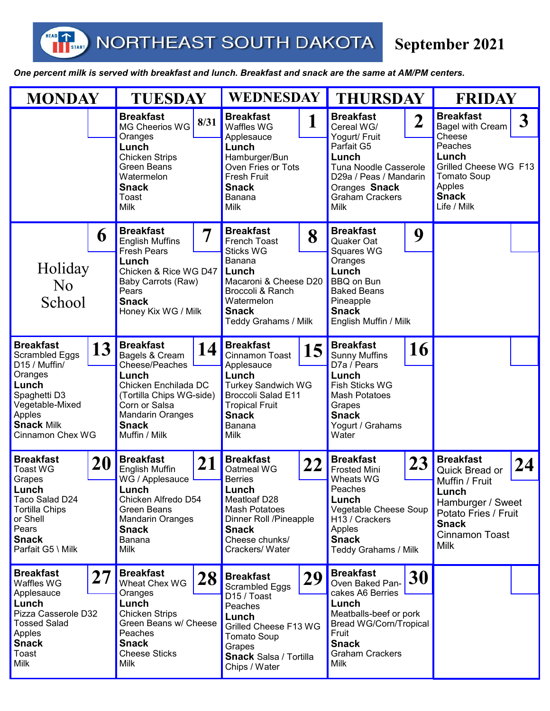T<sub>START</sub>

HEAD

## **September 2021**

*One percent milk is served with breakfast and lunch. Breakfast and snack are the same at AM/PM centers.* 

| <b>MONDAY</b>                                                                                                                                                                     |    | <b>TUESDAY</b>                                                                                                                                                                                       |    | <b>WEDNESDAY</b>                                                                                                                                                                                   |    | <b>THURSDAY</b>                                                                                                                                                                                                |    | <b>FRIDAY</b>                                                                                                                                                          |  |
|-----------------------------------------------------------------------------------------------------------------------------------------------------------------------------------|----|------------------------------------------------------------------------------------------------------------------------------------------------------------------------------------------------------|----|----------------------------------------------------------------------------------------------------------------------------------------------------------------------------------------------------|----|----------------------------------------------------------------------------------------------------------------------------------------------------------------------------------------------------------------|----|------------------------------------------------------------------------------------------------------------------------------------------------------------------------|--|
|                                                                                                                                                                                   |    | <b>Breakfast</b><br>8/31<br>MG Cheerios WG<br>Oranges<br>Lunch<br><b>Chicken Strips</b><br><b>Green Beans</b><br>Watermelon<br><b>Snack</b><br>Toast<br><b>Milk</b>                                  |    | <b>Breakfast</b><br>1<br>Waffles WG<br>Applesauce<br>Lunch<br>Hamburger/Bun<br>Oven Fries or Tots<br><b>Fresh Fruit</b><br><b>Snack</b><br><b>Banana</b><br>Milk                                   |    | <b>Breakfast</b><br>$\overline{\mathbf{2}}$<br>Cereal WG/<br>Yogurt/ Fruit<br>Parfait G5<br>Lunch<br>Tuna Noodle Casserole<br>D29a / Peas / Mandarin<br>Oranges Snack<br><b>Graham Crackers</b><br><b>Milk</b> |    | <b>Breakfast</b><br>3<br><b>Bagel with Cream</b><br>Cheese<br>Peaches<br>Lunch<br>Grilled Cheese WG F13<br><b>Tomato Soup</b><br>Apples<br><b>Snack</b><br>Life / Milk |  |
| 6<br>Holiday<br>N <sub>o</sub><br>School                                                                                                                                          |    | <b>Breakfast</b><br>7<br><b>English Muffins</b><br><b>Fresh Pears</b><br>Lunch<br>Chicken & Rice WG D47<br>Baby Carrots (Raw)<br>Pears<br><b>Snack</b><br>Honey Kix WG / Milk                        |    | <b>Breakfast</b><br>8<br>French Toast<br><b>Sticks WG</b><br>Banana<br>Lunch<br>Macaroni & Cheese D20<br>Broccoli & Ranch<br>Watermelon<br><b>Snack</b><br>Teddy Grahams / Milk                    |    | <b>Breakfast</b><br>9<br>Quaker Oat<br>Squares WG<br>Oranges<br>Lunch<br><b>BBQ on Bun</b><br><b>Baked Beans</b><br>Pineapple<br><b>Snack</b><br>English Muffin / Milk                                         |    |                                                                                                                                                                        |  |
| <b>Breakfast</b><br>13<br><b>Scrambled Eggs</b><br>D15 / Muffin/<br>Oranges<br>Lunch<br>Spaghetti D3<br>Vegetable-Mixed<br>Apples<br><b>Snack Milk</b><br><b>Cinnamon Chex WG</b> |    | <b>Breakfast</b><br>14<br>Bagels & Cream<br>Cheese/Peaches<br>Lunch<br>Chicken Enchilada DC<br>(Tortilla Chips WG-side)<br>Corn or Salsa<br><b>Mandarin Oranges</b><br><b>Snack</b><br>Muffin / Milk |    | <b>Breakfast</b><br>15<br><b>Cinnamon Toast</b><br>Applesauce<br>Lunch<br><b>Turkey Sandwich WG</b><br><b>Broccoli Salad E11</b><br><b>Tropical Fruit</b><br><b>Snack</b><br>Banana<br><b>Milk</b> |    | <b>Breakfast</b><br>16<br><b>Sunny Muffins</b><br>D7a / Pears<br>Lunch<br>Fish Sticks WG<br><b>Mash Potatoes</b><br>Grapes<br><b>Snack</b><br>Yogurt / Grahams<br>Water                                        |    |                                                                                                                                                                        |  |
| <b>Breakfast</b><br>20<br><b>Toast WG</b><br>Grapes<br>Lunch<br>Taco Salad D24<br><b>Tortilla Chips</b><br>or Shell<br>Pears<br><b>Snack</b><br>Parfait G5 \ Milk                 |    | <b>Breakfast</b><br>21<br>English Muffin<br>WG / Applesauce<br>Lunch<br>Chicken Alfredo D54<br>Green Beans<br><b>Mandarin Oranges</b><br><b>Snack</b><br>Banana<br>Milk                              |    | <b>Breakfast</b><br>22<br>Oatmeal WG<br><b>Berries</b><br>Lunch<br>Meatloaf D28<br><b>Mash Potatoes</b><br>Dinner Roll /Pineapple<br><b>Snack</b><br>Cheese chunks/<br>Crackers/Water              |    | <b>Breakfast</b><br>23<br><b>Frosted Mini</b><br>Wheats WG<br>Peaches<br>Lunch<br>Vegetable Cheese Soup<br>H13 / Crackers<br>Apples<br><b>Snack</b><br>Teddy Grahams / Milk                                    |    | <b>Breakfast</b><br>24<br>Quick Bread or<br>Muffin / Fruit<br>Lunch<br>Hamburger / Sweet<br>Potato Fries / Fruit<br><b>Snack</b><br>Cinnamon Toast<br><b>Milk</b>      |  |
| <b>Breakfast</b><br>Waffles WG<br>Applesauce<br>Lunch<br>Pizza Casserole D32<br><b>Tossed Salad</b><br>Apples<br><b>Snack</b><br>Toast<br><b>Milk</b>                             | 27 | <b>Breakfast</b><br>Wheat Chex WG<br>Oranges<br>Lunch<br><b>Chicken Strips</b><br>Green Beans w/ Cheese<br>Peaches<br><b>Snack</b><br><b>Cheese Sticks</b><br>Milk                                   | 28 | <b>Breakfast</b><br>Scrambled Eggs<br>D15 / Toast<br>Peaches<br>Lunch<br>Grilled Cheese F13 WG<br><b>Tomato Soup</b><br>Grapes<br><b>Snack Salsa / Tortilla</b><br>Chips / Water                   | 29 | <b>Breakfast</b><br>Oven Baked Pan-<br>cakes A6 Berries<br>Lunch<br>Meatballs-beef or pork<br>Bread WG/Corn/Tropical<br>Fruit<br><b>Snack</b><br><b>Graham Crackers</b><br>Milk                                | 30 |                                                                                                                                                                        |  |